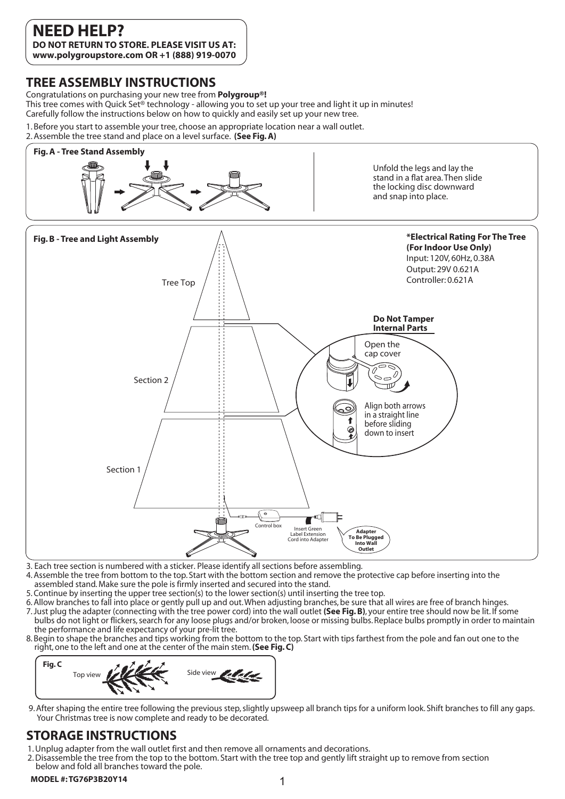## **TREE ASSEMBLY INSTRUCTIONS**

Congratulations on purchasing your new tree from **Polygroup®!**  This tree comes with Quick Set<sup>®</sup> technology - allowing you to set up your tree and light it up in minutes! Carefully follow the instructions below on how to quickly and easily set up your new tree.

1. Before you start to assemble your tree, choose an appropriate location near a wall outlet.

2. Assemble the tree stand and place on a level surface. **(See Fig. A)**



3. Each tree section is numbered with a sticker. Please identify all sections before assembling.

- 4. Assemble the tree from bottom to the top. Start with the bottom section and remove the protective cap before inserting into the assembled stand. Make sure the pole is firmly inserted and secured into the stand.
- 5. Continue by inserting the upper tree section(s) to the lower section(s) until inserting the tree top.
- 6. Allow branches to fall into place or gently pull up and out. When adjusting branches, be sure that all wires are free of branch hinges.
- 7. Just plug the adapter (connecting with the tree power cord) into the wall outlet **(See Fig. B)**, your entire tree should now be lit. If some bulbs do not light or flickers, search for any loose plugs and/or broken, loose or missing bulbs. Replace bulbs promptly in order to maintain the performance and life expectancy of your pre-lit tree.
- 8. Begin to shape the branches and tips working from the bottom to the top. Start with tips farthest from the pole and fan out one to the right, one to the left and one at the center of the main stem. **(See Fig. C)**



9. After shaping the entire tree following the previous step, slightly upsweep all branch tips for a uniform look. Shift branches to fill any gaps. Your Christmas tree is now complete and ready to be decorated.

## **STORAGE INSTRUCTIONS**

- 1. Unplug adapter from the wall outlet first and then remove all ornaments and decorations.
- 2. Disassemble the tree from the top to the bottom. Start with the tree top and gently lift straight up to remove from section below and fold all branches toward the pole.

### **MODEL #:TG76P3B20Y14** 1